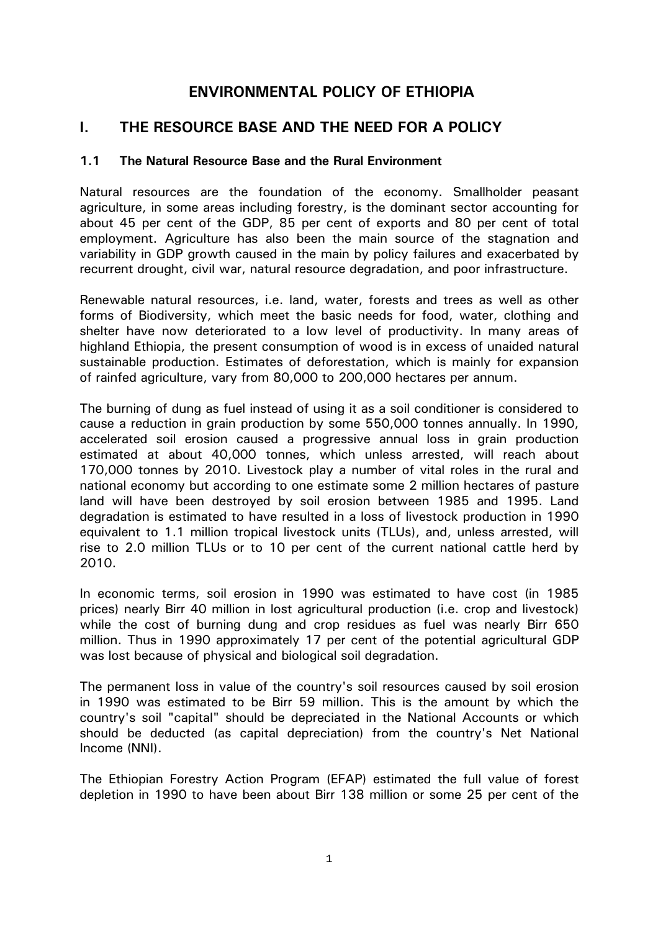# **ENVIRONMENTAL POLICY OF ETHIOPIA**

# **I. THE RESOURCE BASE AND THE NEED FOR A POLICY**

# **1.1 The Natural Resource Base and the Rural Environment**

Natural resources are the foundation of the economy. Smallholder peasant agriculture, in some areas including forestry, is the dominant sector accounting for about 45 per cent of the GDP, 85 per cent of exports and 80 per cent of total employment. Agriculture has also been the main source of the stagnation and variability in GDP growth caused in the main by policy failures and exacerbated by recurrent drought, civil war, natural resource degradation, and poor infrastructure.

Renewable natural resources, i.e. land, water, forests and trees as well as other forms of Biodiversity, which meet the basic needs for food, water, clothing and shelter have now deteriorated to a low level of productivity. In many areas of highland Ethiopia, the present consumption of wood is in excess of unaided natural sustainable production. Estimates of deforestation, which is mainly for expansion of rainfed agriculture, vary from 80,000 to 200,000 hectares per annum.

The burning of dung as fuel instead of using it as a soil conditioner is considered to cause a reduction in grain production by some 550,000 tonnes annually. In 1990, accelerated soil erosion caused a progressive annual loss in grain production estimated at about 40,000 tonnes, which unless arrested, will reach about 170,000 tonnes by 2010. Livestock play a number of vital roles in the rural and national economy but according to one estimate some 2 million hectares of pasture land will have been destroyed by soil erosion between 1985 and 1995. Land degradation is estimated to have resulted in a loss of livestock production in 1990 equivalent to 1.1 million tropical livestock units (TLUs), and, unless arrested, will rise to 2.0 million TLUs or to 10 per cent of the current national cattle herd by 2010.

In economic terms, soil erosion in 1990 was estimated to have cost (in 1985 prices) nearly Birr 40 million in lost agricultural production (i.e. crop and livestock) while the cost of burning dung and crop residues as fuel was nearly Birr 650 million. Thus in 1990 approximately 17 per cent of the potential agricultural GDP was lost because of physical and biological soil degradation.

The permanent loss in value of the country's soil resources caused by soil erosion in 1990 was estimated to be Birr 59 million. This is the amount by which the country's soil "capital" should be depreciated in the National Accounts or which should be deducted (as capital depreciation) from the country's Net National Income (NNI).

The Ethiopian Forestry Action Program (EFAP) estimated the full value of forest depletion in 1990 to have been about Birr 138 million or some 25 per cent of the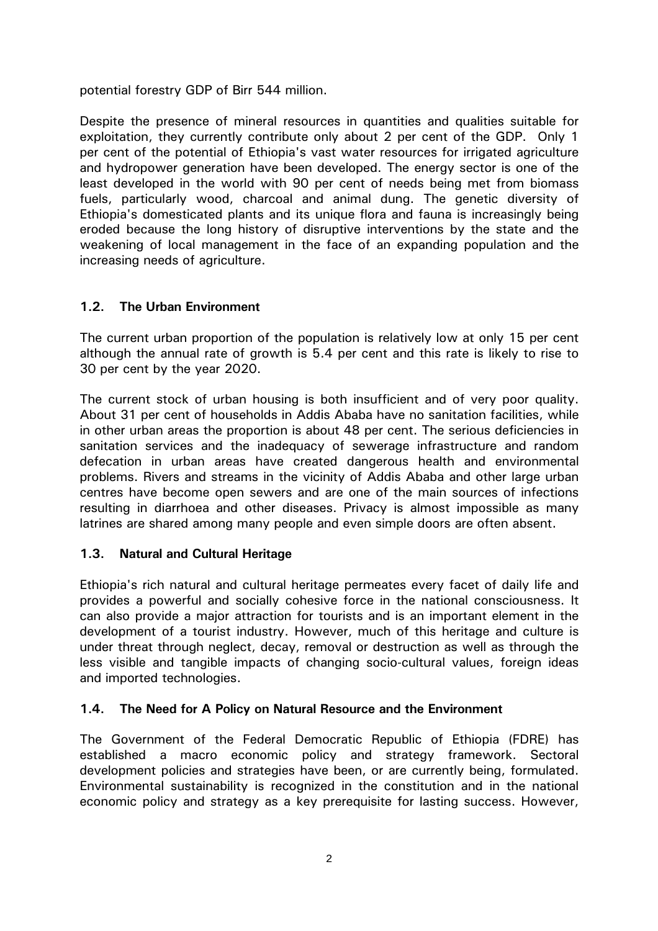potential forestry GDP of Birr 544 million.

Despite the presence of mineral resources in quantities and qualities suitable for exploitation, they currently contribute only about 2 per cent of the GDP. Only 1 per cent of the potential of Ethiopia's vast water resources for irrigated agriculture and hydropower generation have been developed. The energy sector is one of the least developed in the world with 90 per cent of needs being met from biomass fuels, particularly wood, charcoal and animal dung. The genetic diversity of Ethiopia's domesticated plants and its unique flora and fauna is increasingly being eroded because the long history of disruptive interventions by the state and the weakening of local management in the face of an expanding population and the increasing needs of agriculture.

# **1.2. The Urban Environment**

The current urban proportion of the population is relatively low at only 15 per cent although the annual rate of growth is 5.4 per cent and this rate is likely to rise to 30 per cent by the year 2020.

The current stock of urban housing is both insufficient and of very poor quality. About 31 per cent of households in Addis Ababa have no sanitation facilities, while in other urban areas the proportion is about 48 per cent. The serious deficiencies in sanitation services and the inadequacy of sewerage infrastructure and random defecation in urban areas have created dangerous health and environmental problems. Rivers and streams in the vicinity of Addis Ababa and other large urban centres have become open sewers and are one of the main sources of infections resulting in diarrhoea and other diseases. Privacy is almost impossible as many latrines are shared among many people and even simple doors are often absent.

# **1.3. Natural and Cultural Heritage**

Ethiopia's rich natural and cultural heritage permeates every facet of daily life and provides a powerful and socially cohesive force in the national consciousness. It can also provide a major attraction for tourists and is an important element in the development of a tourist industry. However, much of this heritage and culture is under threat through neglect, decay, removal or destruction as well as through the less visible and tangible impacts of changing socio-cultural values, foreign ideas and imported technologies.

# **1.4. The Need for A Policy on Natural Resource and the Environment**

The Government of the Federal Democratic Republic of Ethiopia (FDRE) has established a macro economic policy and strategy framework. Sectoral development policies and strategies have been, or are currently being, formulated. Environmental sustainability is recognized in the constitution and in the national economic policy and strategy as a key prerequisite for lasting success. However,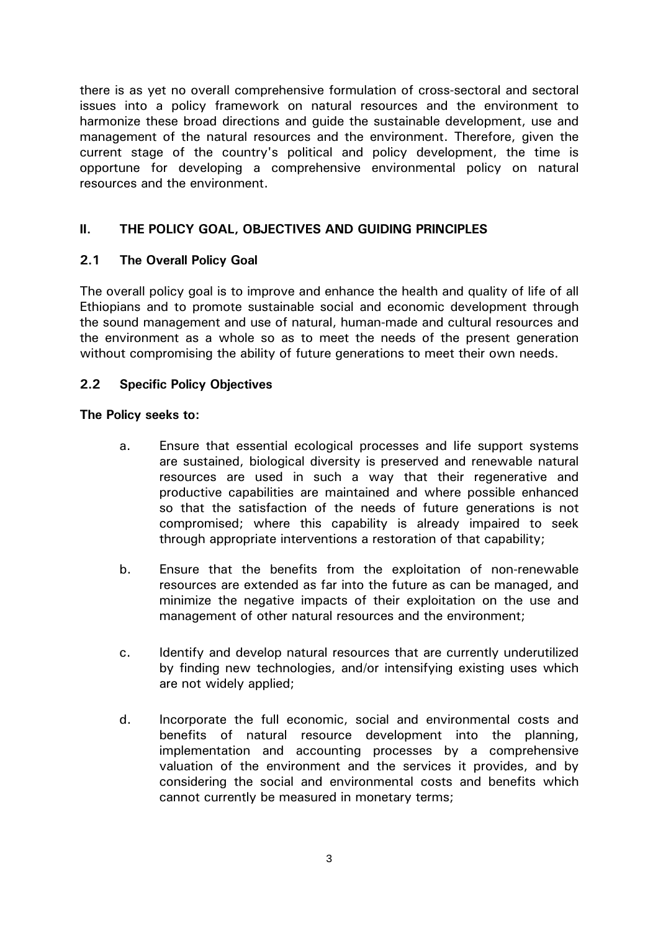there is as yet no overall comprehensive formulation of cross-sectoral and sectoral issues into a policy framework on natural resources and the environment to harmonize these broad directions and guide the sustainable development, use and management of the natural resources and the environment. Therefore, given the current stage of the country's political and policy development, the time is opportune for developing a comprehensive environmental policy on natural resources and the environment.

# **II. THE POLICY GOAL, OBJECTIVES AND GUIDING PRINCIPLES**

# **2.1 The Overall Policy Goal**

The overall policy goal is to improve and enhance the health and quality of life of all Ethiopians and to promote sustainable social and economic development through the sound management and use of natural, human-made and cultural resources and the environment as a whole so as to meet the needs of the present generation without compromising the ability of future generations to meet their own needs.

### **2.2 Specific Policy Objectives**

### **The Policy seeks to:**

- a. Ensure that essential ecological processes and life support systems are sustained, biological diversity is preserved and renewable natural resources are used in such a way that their regenerative and productive capabilities are maintained and where possible enhanced so that the satisfaction of the needs of future generations is not compromised; where this capability is already impaired to seek through appropriate interventions a restoration of that capability;
- b. Ensure that the benefits from the exploitation of non-renewable resources are extended as far into the future as can be managed, and minimize the negative impacts of their exploitation on the use and management of other natural resources and the environment;
- c. Identify and develop natural resources that are currently underutilized by finding new technologies, and/or intensifying existing uses which are not widely applied;
- d. Incorporate the full economic, social and environmental costs and benefits of natural resource development into the planning, implementation and accounting processes by a comprehensive valuation of the environment and the services it provides, and by considering the social and environmental costs and benefits which cannot currently be measured in monetary terms;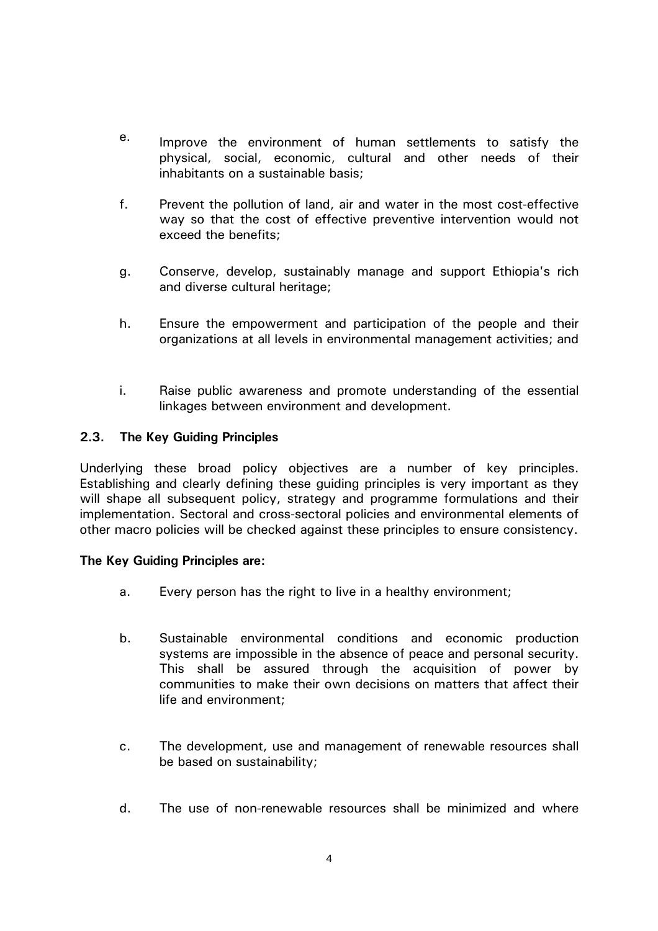- e. Improve the environment of human settlements to satisfy the physical, social, economic, cultural and other needs of their inhabitants on a sustainable basis;
- f. Prevent the pollution of land, air and water in the most cost-effective way so that the cost of effective preventive intervention would not exceed the benefits;
- g. Conserve, develop, sustainably manage and support Ethiopia's rich and diverse cultural heritage;
- h. Ensure the empowerment and participation of the people and their organizations at all levels in environmental management activities; and
- i. Raise public awareness and promote understanding of the essential linkages between environment and development.

### **2.3. The Key Guiding Principles**

Underlying these broad policy objectives are a number of key principles. Establishing and clearly defining these guiding principles is very important as they will shape all subsequent policy, strategy and programme formulations and their implementation. Sectoral and cross-sectoral policies and environmental elements of other macro policies will be checked against these principles to ensure consistency.

### **The Key Guiding Principles are:**

- a. Every person has the right to live in a healthy environment;
- b. Sustainable environmental conditions and economic production systems are impossible in the absence of peace and personal security. This shall be assured through the acquisition of power by communities to make their own decisions on matters that affect their life and environment;
- c. The development, use and management of renewable resources shall be based on sustainability;
- d. The use of non-renewable resources shall be minimized and where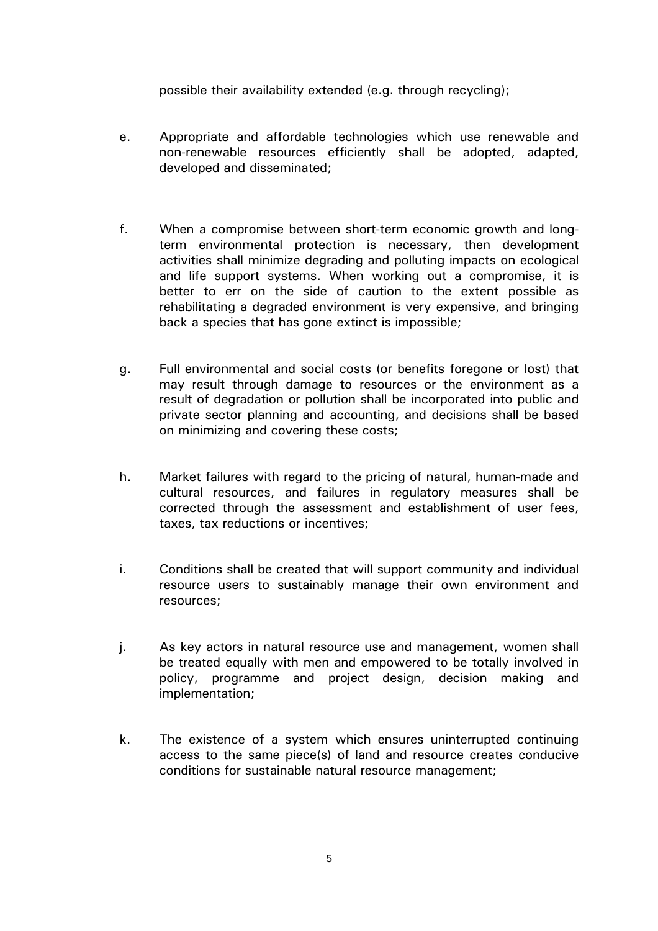possible their availability extended (e.g. through recycling);

- e. Appropriate and affordable technologies which use renewable and non-renewable resources efficiently shall be adopted, adapted, developed and disseminated;
- f. When a compromise between short-term economic growth and longterm environmental protection is necessary, then development activities shall minimize degrading and polluting impacts on ecological and life support systems. When working out a compromise, it is better to err on the side of caution to the extent possible as rehabilitating a degraded environment is very expensive, and bringing back a species that has gone extinct is impossible;
- g. Full environmental and social costs (or benefits foregone or lost) that may result through damage to resources or the environment as a result of degradation or pollution shall be incorporated into public and private sector planning and accounting, and decisions shall be based on minimizing and covering these costs;
- h. Market failures with regard to the pricing of natural, human-made and cultural resources, and failures in regulatory measures shall be corrected through the assessment and establishment of user fees, taxes, tax reductions or incentives;
- i. Conditions shall be created that will support community and individual resource users to sustainably manage their own environment and resources;
- j. As key actors in natural resource use and management, women shall be treated equally with men and empowered to be totally involved in policy, programme and project design, decision making and implementation;
- k. The existence of a system which ensures uninterrupted continuing access to the same piece(s) of land and resource creates conducive conditions for sustainable natural resource management;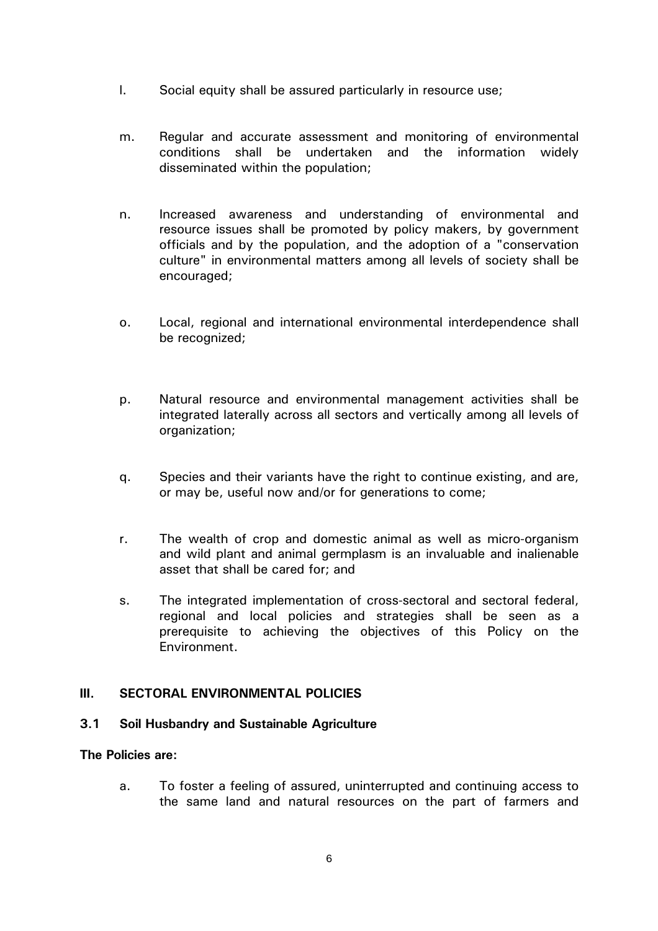- l. Social equity shall be assured particularly in resource use;
- m. Regular and accurate assessment and monitoring of environmental conditions shall be undertaken and the information widely disseminated within the population;
- n. Increased awareness and understanding of environmental and resource issues shall be promoted by policy makers, by government officials and by the population, and the adoption of a "conservation culture" in environmental matters among all levels of society shall be encouraged;
- o. Local, regional and international environmental interdependence shall be recognized;
- p. Natural resource and environmental management activities shall be integrated laterally across all sectors and vertically among all levels of organization;
- q. Species and their variants have the right to continue existing, and are, or may be, useful now and/or for generations to come;
- r. The wealth of crop and domestic animal as well as micro-organism and wild plant and animal germplasm is an invaluable and inalienable asset that shall be cared for; and
- s. The integrated implementation of cross-sectoral and sectoral federal, regional and local policies and strategies shall be seen as a prerequisite to achieving the objectives of this Policy on the Environment.

# **III. SECTORAL ENVIRONMENTAL POLICIES**

### **3.1 Soil Husbandry and Sustainable Agriculture**

#### **The Policies are:**

 a. To foster a feeling of assured, uninterrupted and continuing access to the same land and natural resources on the part of farmers and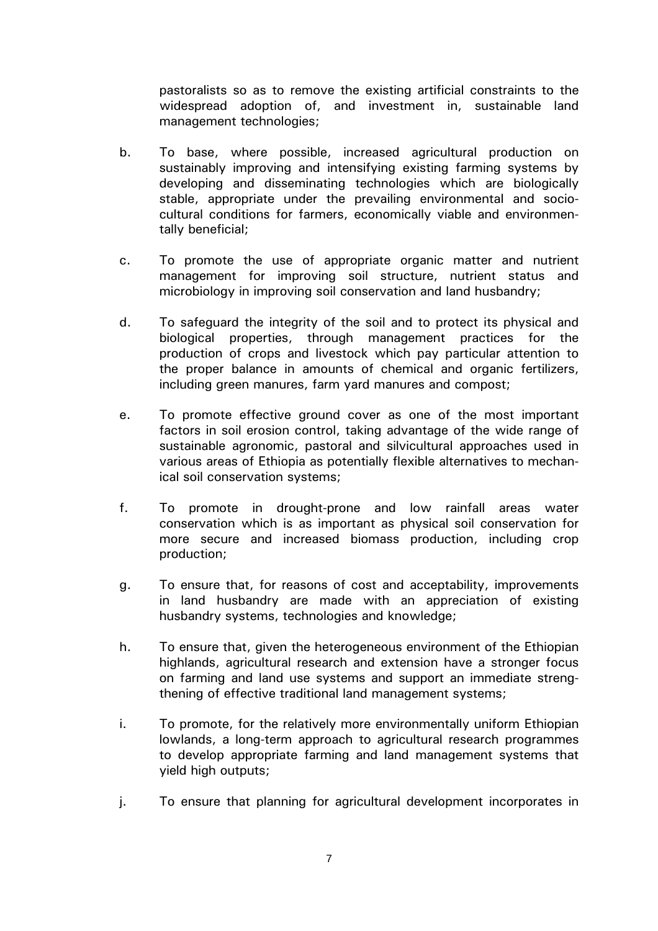pastoralists so as to remove the existing artificial constraints to the widespread adoption of, and investment in, sustainable land management technologies;

- b. To base, where possible, increased agricultural production on sustainably improving and intensifying existing farming systems by developing and disseminating technologies which are biologically stable, appropriate under the prevailing environmental and sociocultural conditions for farmers, economically viable and environmentally beneficial;
- c. To promote the use of appropriate organic matter and nutrient management for improving soil structure, nutrient status and microbiology in improving soil conservation and land husbandry;
- d. To safeguard the integrity of the soil and to protect its physical and biological properties, through management practices for the production of crops and livestock which pay particular attention to the proper balance in amounts of chemical and organic fertilizers, including green manures, farm yard manures and compost;
- e. To promote effective ground cover as one of the most important factors in soil erosion control, taking advantage of the wide range of sustainable agronomic, pastoral and silvicultural approaches used in various areas of Ethiopia as potentially flexible alternatives to mechanical soil conservation systems;
- f. To promote in drought-prone and low rainfall areas water conservation which is as important as physical soil conservation for more secure and increased biomass production, including crop production;
- g. To ensure that, for reasons of cost and acceptability, improvements in land husbandry are made with an appreciation of existing husbandry systems, technologies and knowledge;
- h. To ensure that, given the heterogeneous environment of the Ethiopian highlands, agricultural research and extension have a stronger focus on farming and land use systems and support an immediate strengthening of effective traditional land management systems;
- i. To promote, for the relatively more environmentally uniform Ethiopian lowlands, a long-term approach to agricultural research programmes to develop appropriate farming and land management systems that yield high outputs;
- j. To ensure that planning for agricultural development incorporates in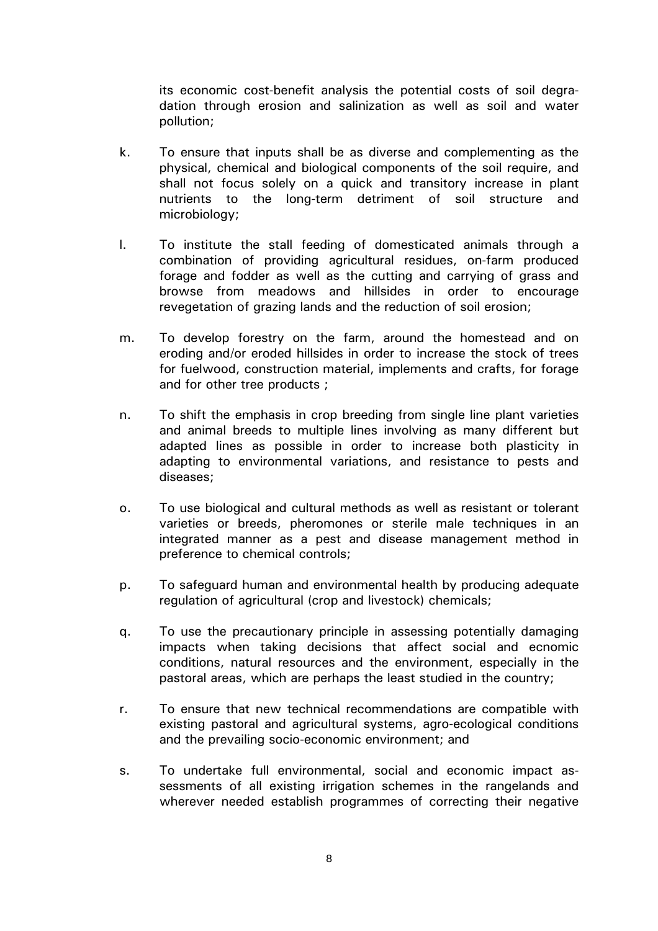its economic cost-benefit analysis the potential costs of soil degradation through erosion and salinization as well as soil and water pollution;

- k. To ensure that inputs shall be as diverse and complementing as the physical, chemical and biological components of the soil require, and shall not focus solely on a quick and transitory increase in plant nutrients to the long-term detriment of soil structure and microbiology;
- l. To institute the stall feeding of domesticated animals through a combination of providing agricultural residues, on-farm produced forage and fodder as well as the cutting and carrying of grass and browse from meadows and hillsides in order to encourage revegetation of grazing lands and the reduction of soil erosion;
- m. To develop forestry on the farm, around the homestead and on eroding and/or eroded hillsides in order to increase the stock of trees for fuelwood, construction material, implements and crafts, for forage and for other tree products ;
- n. To shift the emphasis in crop breeding from single line plant varieties and animal breeds to multiple lines involving as many different but adapted lines as possible in order to increase both plasticity in adapting to environmental variations, and resistance to pests and diseases;
- o. To use biological and cultural methods as well as resistant or tolerant varieties or breeds, pheromones or sterile male techniques in an integrated manner as a pest and disease management method in preference to chemical controls;
- p. To safeguard human and environmental health by producing adequate regulation of agricultural (crop and livestock) chemicals;
- q. To use the precautionary principle in assessing potentially damaging impacts when taking decisions that affect social and ecnomic conditions, natural resources and the environment, especially in the pastoral areas, which are perhaps the least studied in the country;
- r. To ensure that new technical recommendations are compatible with existing pastoral and agricultural systems, agro-ecological conditions and the prevailing socio-economic environment; and
- s. To undertake full environmental, social and economic impact assessments of all existing irrigation schemes in the rangelands and wherever needed establish programmes of correcting their negative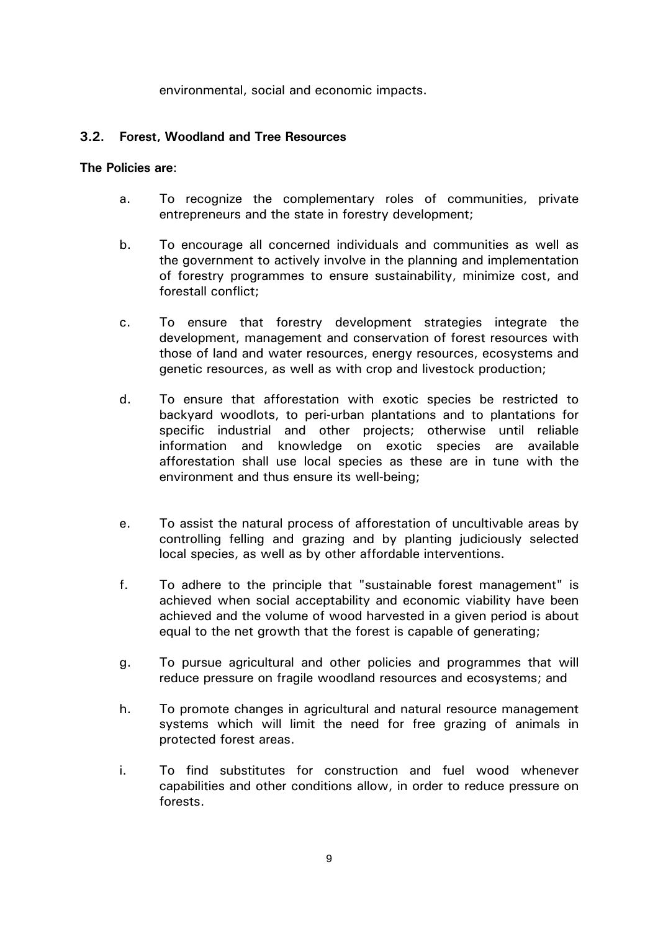environmental, social and economic impacts.

### **3.2. Forest, Woodland and Tree Resources**

- a. To recognize the complementary roles of communities, private entrepreneurs and the state in forestry development;
- b. To encourage all concerned individuals and communities as well as the government to actively involve in the planning and implementation of forestry programmes to ensure sustainability, minimize cost, and forestall conflict;
- c. To ensure that forestry development strategies integrate the development, management and conservation of forest resources with those of land and water resources, energy resources, ecosystems and genetic resources, as well as with crop and livestock production;
- d. To ensure that afforestation with exotic species be restricted to backyard woodlots, to peri-urban plantations and to plantations for specific industrial and other projects; otherwise until reliable information and knowledge on exotic species are available afforestation shall use local species as these are in tune with the environment and thus ensure its well-being;
- e. To assist the natural process of afforestation of uncultivable areas by controlling felling and grazing and by planting judiciously selected local species, as well as by other affordable interventions.
- f. To adhere to the principle that "sustainable forest management" is achieved when social acceptability and economic viability have been achieved and the volume of wood harvested in a given period is about equal to the net growth that the forest is capable of generating;
- g. To pursue agricultural and other policies and programmes that will reduce pressure on fragile woodland resources and ecosystems; and
- h. To promote changes in agricultural and natural resource management systems which will limit the need for free grazing of animals in protected forest areas.
- i. To find substitutes for construction and fuel wood whenever capabilities and other conditions allow, in order to reduce pressure on forests.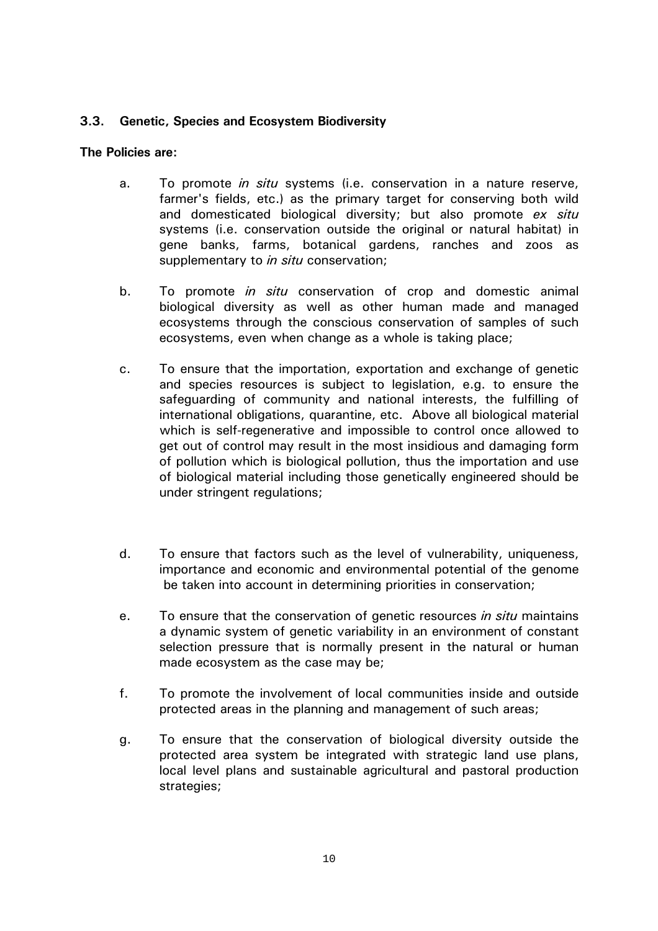# **3.3. Genetic, Species and Ecosystem Biodiversity**

- a. To promote *in situ* systems (i.e. conservation in a nature reserve, farmer's fields, etc.) as the primary target for conserving both wild and domesticated biological diversity; but also promote *ex situ* systems (i.e. conservation outside the original or natural habitat) in gene banks, farms, botanical gardens, ranches and zoos as supplementary to *in situ* conservation;
- b. To promote *in situ* conservation of crop and domestic animal biological diversity as well as other human made and managed ecosystems through the conscious conservation of samples of such ecosystems, even when change as a whole is taking place;
- c. To ensure that the importation, exportation and exchange of genetic and species resources is subject to legislation, e.g. to ensure the safeguarding of community and national interests, the fulfilling of international obligations, quarantine, etc. Above all biological material which is self-regenerative and impossible to control once allowed to get out of control may result in the most insidious and damaging form of pollution which is biological pollution, thus the importation and use of biological material including those genetically engineered should be under stringent regulations;
- d. To ensure that factors such as the level of vulnerability, uniqueness, importance and economic and environmental potential of the genome be taken into account in determining priorities in conservation;
- e. To ensure that the conservation of genetic resources *in situ* maintains a dynamic system of genetic variability in an environment of constant selection pressure that is normally present in the natural or human made ecosystem as the case may be;
- f. To promote the involvement of local communities inside and outside protected areas in the planning and management of such areas;
- g. To ensure that the conservation of biological diversity outside the protected area system be integrated with strategic land use plans, local level plans and sustainable agricultural and pastoral production strategies;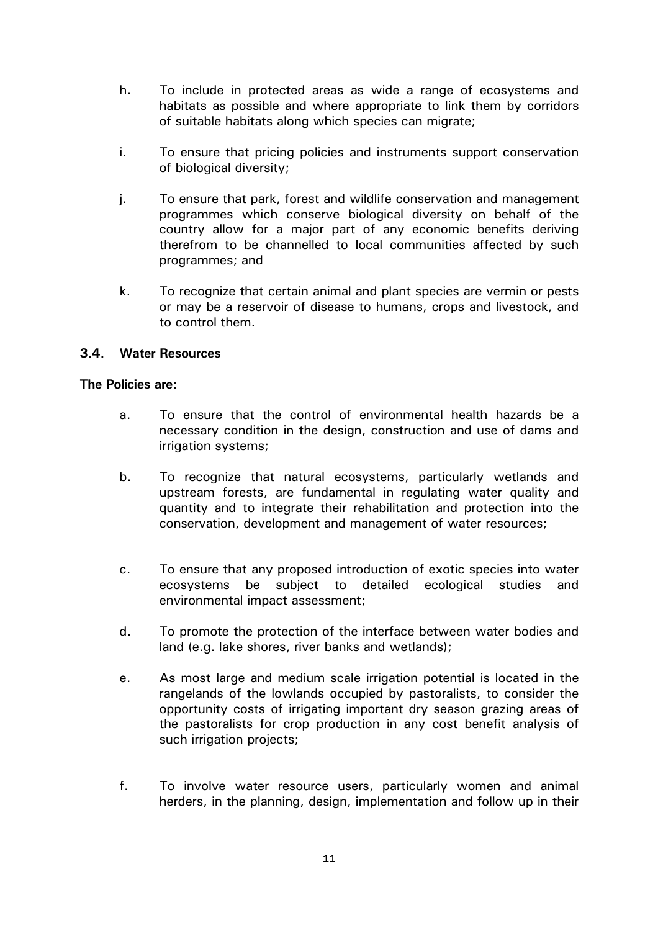- h. To include in protected areas as wide a range of ecosystems and habitats as possible and where appropriate to link them by corridors of suitable habitats along which species can migrate;
- i. To ensure that pricing policies and instruments support conservation of biological diversity;
- j. To ensure that park, forest and wildlife conservation and management programmes which conserve biological diversity on behalf of the country allow for a major part of any economic benefits deriving therefrom to be channelled to local communities affected by such programmes; and
- k. To recognize that certain animal and plant species are vermin or pests or may be a reservoir of disease to humans, crops and livestock, and to control them.

# **3.4. Water Resources**

- a. To ensure that the control of environmental health hazards be a necessary condition in the design, construction and use of dams and irrigation systems;
- b. To recognize that natural ecosystems, particularly wetlands and upstream forests, are fundamental in regulating water quality and quantity and to integrate their rehabilitation and protection into the conservation, development and management of water resources;
- c. To ensure that any proposed introduction of exotic species into water ecosystems be subject to detailed ecological studies and environmental impact assessment;
- d. To promote the protection of the interface between water bodies and land (e.g. lake shores, river banks and wetlands);
- e. As most large and medium scale irrigation potential is located in the rangelands of the lowlands occupied by pastoralists, to consider the opportunity costs of irrigating important dry season grazing areas of the pastoralists for crop production in any cost benefit analysis of such irrigation projects;
- f. To involve water resource users, particularly women and animal herders, in the planning, design, implementation and follow up in their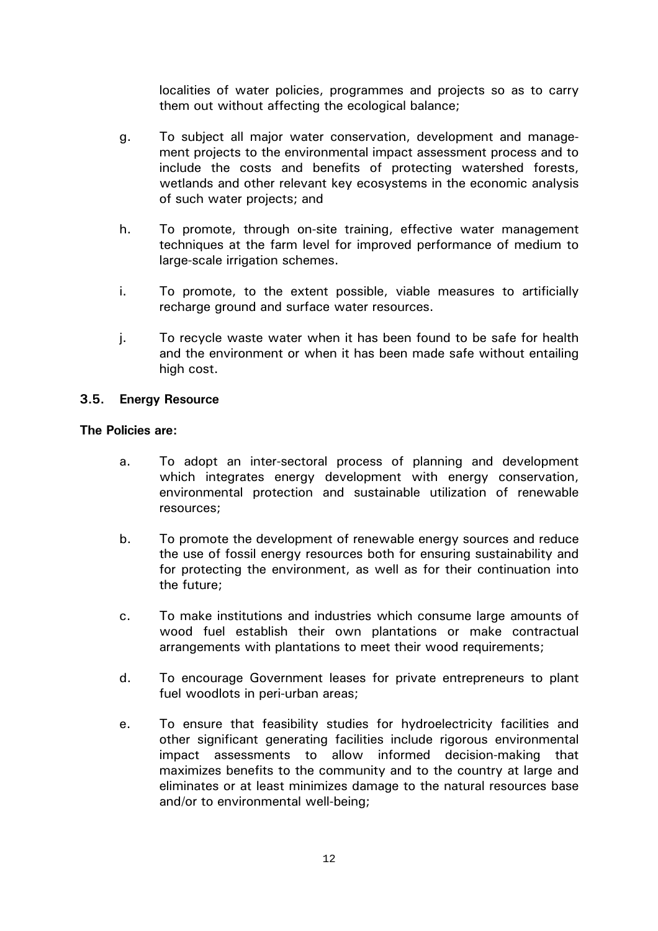localities of water policies, programmes and projects so as to carry them out without affecting the ecological balance;

- g. To subject all major water conservation, development and management projects to the environmental impact assessment process and to include the costs and benefits of protecting watershed forests, wetlands and other relevant key ecosystems in the economic analysis of such water projects; and
- h. To promote, through on-site training, effective water management techniques at the farm level for improved performance of medium to large-scale irrigation schemes.
- i. To promote, to the extent possible, viable measures to artificially recharge ground and surface water resources.
- j. To recycle waste water when it has been found to be safe for health and the environment or when it has been made safe without entailing high cost.

### **3.5. Energy Resource**

- a. To adopt an inter-sectoral process of planning and development which integrates energy development with energy conservation, environmental protection and sustainable utilization of renewable resources;
- b. To promote the development of renewable energy sources and reduce the use of fossil energy resources both for ensuring sustainability and for protecting the environment, as well as for their continuation into the future;
- c. To make institutions and industries which consume large amounts of wood fuel establish their own plantations or make contractual arrangements with plantations to meet their wood requirements;
- d. To encourage Government leases for private entrepreneurs to plant fuel woodlots in peri-urban areas;
- e. To ensure that feasibility studies for hydroelectricity facilities and other significant generating facilities include rigorous environmental impact assessments to allow informed decision-making that maximizes benefits to the community and to the country at large and eliminates or at least minimizes damage to the natural resources base and/or to environmental well-being;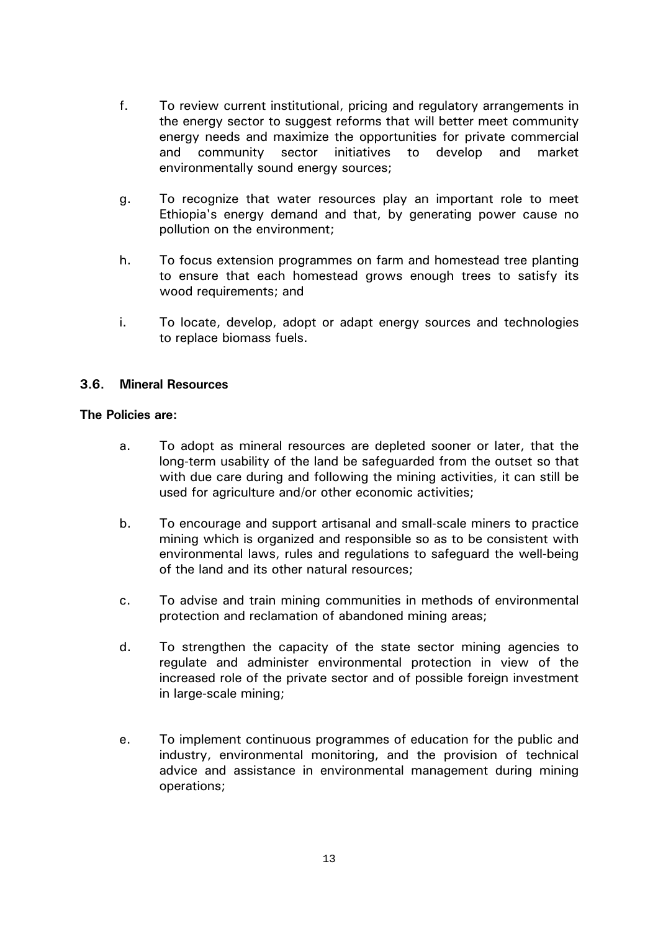- f. To review current institutional, pricing and regulatory arrangements in the energy sector to suggest reforms that will better meet community energy needs and maximize the opportunities for private commercial and community sector initiatives to develop and market environmentally sound energy sources;
- g. To recognize that water resources play an important role to meet Ethiopia's energy demand and that, by generating power cause no pollution on the environment;
- h. To focus extension programmes on farm and homestead tree planting to ensure that each homestead grows enough trees to satisfy its wood requirements; and
- i. To locate, develop, adopt or adapt energy sources and technologies to replace biomass fuels.

### **3.6. Mineral Resources**

- a. To adopt as mineral resources are depleted sooner or later, that the long-term usability of the land be safeguarded from the outset so that with due care during and following the mining activities, it can still be used for agriculture and/or other economic activities;
- b. To encourage and support artisanal and small-scale miners to practice mining which is organized and responsible so as to be consistent with environmental laws, rules and regulations to safeguard the well-being of the land and its other natural resources;
- c. To advise and train mining communities in methods of environmental protection and reclamation of abandoned mining areas;
- d. To strengthen the capacity of the state sector mining agencies to regulate and administer environmental protection in view of the increased role of the private sector and of possible foreign investment in large-scale mining;
- e. To implement continuous programmes of education for the public and industry, environmental monitoring, and the provision of technical advice and assistance in environmental management during mining operations;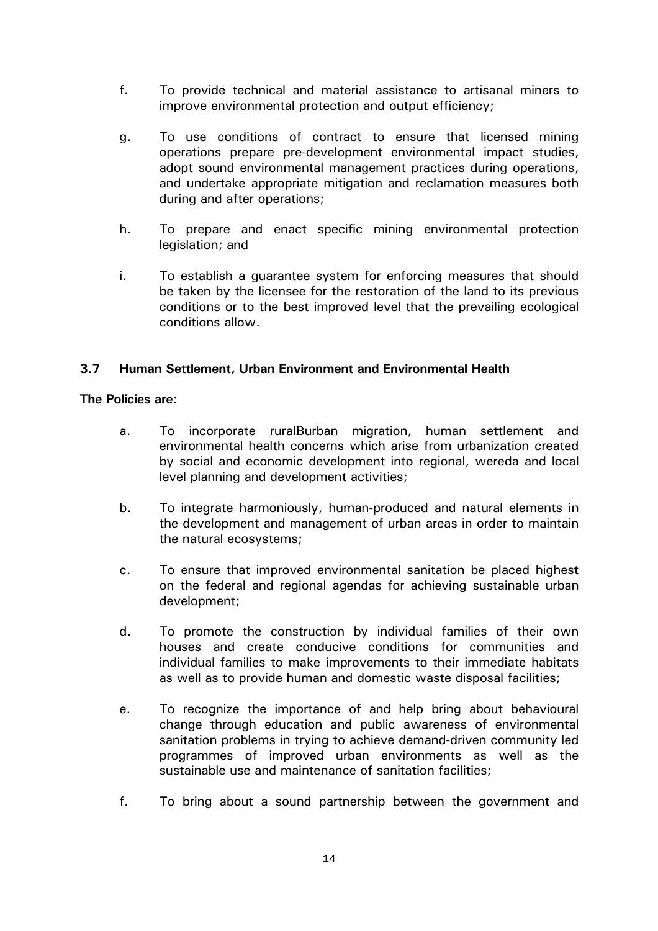- f. To provide technical and material assistance to artisanal miners to improve environmental protection and output efficiency;
- g. To use conditions of contract to ensure that licensed mining operations prepare pre-development environmental impact studies, adopt sound environmental management practices during operations, and undertake appropriate mitigation and reclamation measures both during and after operations;
- h. To prepare and enact specific mining environmental protection legislation; and
- i. To establish a guarantee system for enforcing measures that should be taken by the licensee for the restoration of the land to its previous conditions or to the best improved level that the prevailing ecological conditions allow.

### **3.7 Human Settlement, Urban Environment and Environmental Health**

- a. To incorporate ruralΒurban migration, human settlement and environmental health concerns which arise from urbanization created by social and economic development into regional, wereda and local level planning and development activities;
- b. To integrate harmoniously, human-produced and natural elements in the development and management of urban areas in order to maintain the natural ecosystems;
- c. To ensure that improved environmental sanitation be placed highest on the federal and regional agendas for achieving sustainable urban development;
- d. To promote the construction by individual families of their own houses and create conducive conditions for communities and individual families to make improvements to their immediate habitats as well as to provide human and domestic waste disposal facilities;
- e. To recognize the importance of and help bring about behavioural change through education and public awareness of environmental sanitation problems in trying to achieve demand-driven community led programmes of improved urban environments as well as the sustainable use and maintenance of sanitation facilities;
- f. To bring about a sound partnership between the government and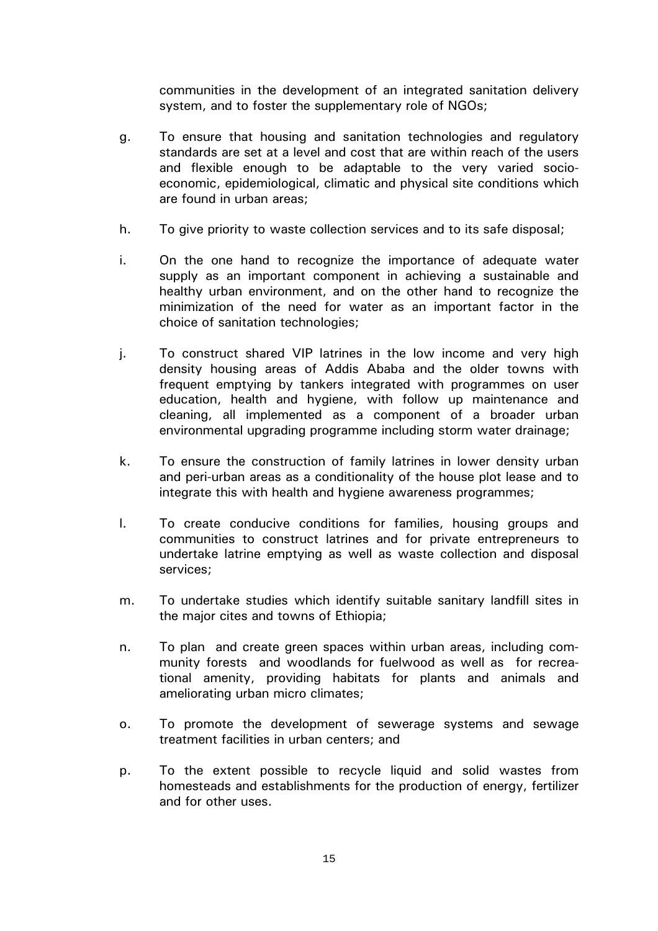communities in the development of an integrated sanitation delivery system, and to foster the supplementary role of NGOs;

- g. To ensure that housing and sanitation technologies and regulatory standards are set at a level and cost that are within reach of the users and flexible enough to be adaptable to the very varied socioeconomic, epidemiological, climatic and physical site conditions which are found in urban areas;
- h. To give priority to waste collection services and to its safe disposal;
- i. On the one hand to recognize the importance of adequate water supply as an important component in achieving a sustainable and healthy urban environment, and on the other hand to recognize the minimization of the need for water as an important factor in the choice of sanitation technologies;
- j. To construct shared VIP latrines in the low income and very high density housing areas of Addis Ababa and the older towns with frequent emptying by tankers integrated with programmes on user education, health and hygiene, with follow up maintenance and cleaning, all implemented as a component of a broader urban environmental upgrading programme including storm water drainage;
- k. To ensure the construction of family latrines in lower density urban and peri-urban areas as a conditionality of the house plot lease and to integrate this with health and hygiene awareness programmes;
- l. To create conducive conditions for families, housing groups and communities to construct latrines and for private entrepreneurs to undertake latrine emptying as well as waste collection and disposal services;
- m. To undertake studies which identify suitable sanitary landfill sites in the major cites and towns of Ethiopia;
- n. To plan and create green spaces within urban areas, including community forests and woodlands for fuelwood as well as for recreational amenity, providing habitats for plants and animals and ameliorating urban micro climates;
- o. To promote the development of sewerage systems and sewage treatment facilities in urban centers; and
- p. To the extent possible to recycle liquid and solid wastes from homesteads and establishments for the production of energy, fertilizer and for other uses.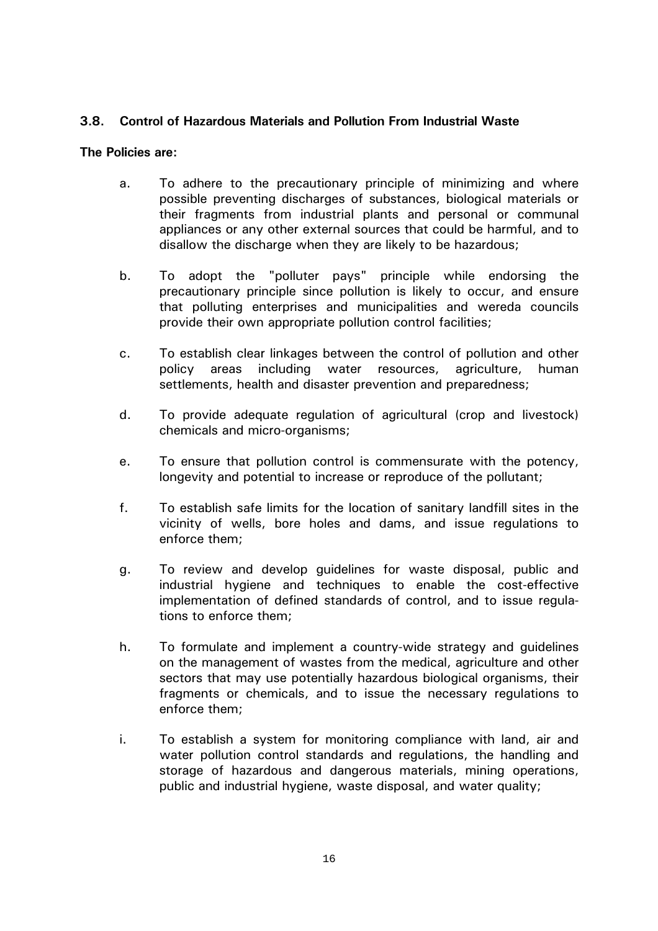### **3.8. Control of Hazardous Materials and Pollution From Industrial Waste**

- a. To adhere to the precautionary principle of minimizing and where possible preventing discharges of substances, biological materials or their fragments from industrial plants and personal or communal appliances or any other external sources that could be harmful, and to disallow the discharge when they are likely to be hazardous;
- b. To adopt the "polluter pays" principle while endorsing the precautionary principle since pollution is likely to occur, and ensure that polluting enterprises and municipalities and wereda councils provide their own appropriate pollution control facilities;
- c. To establish clear linkages between the control of pollution and other policy areas including water resources, agriculture, human settlements, health and disaster prevention and preparedness;
- d. To provide adequate regulation of agricultural (crop and livestock) chemicals and micro-organisms;
- e. To ensure that pollution control is commensurate with the potency, longevity and potential to increase or reproduce of the pollutant;
- f. To establish safe limits for the location of sanitary landfill sites in the vicinity of wells, bore holes and dams, and issue regulations to enforce them;
- g. To review and develop guidelines for waste disposal, public and industrial hygiene and techniques to enable the cost-effective implementation of defined standards of control, and to issue regulations to enforce them;
- h. To formulate and implement a country-wide strategy and guidelines on the management of wastes from the medical, agriculture and other sectors that may use potentially hazardous biological organisms, their fragments or chemicals, and to issue the necessary regulations to enforce them;
- i. To establish a system for monitoring compliance with land, air and water pollution control standards and regulations, the handling and storage of hazardous and dangerous materials, mining operations, public and industrial hygiene, waste disposal, and water quality;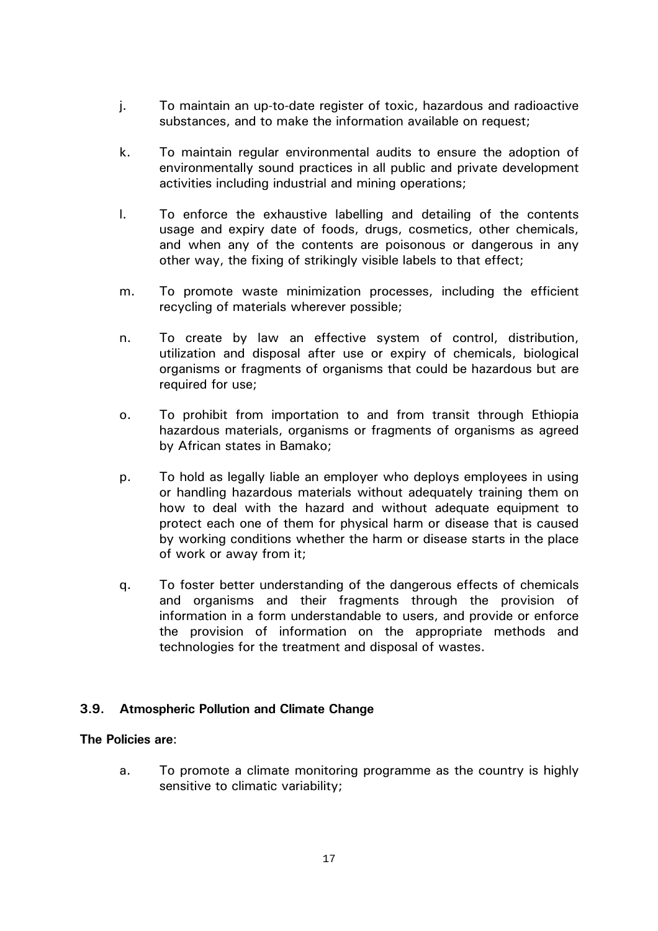- j. To maintain an up-to-date register of toxic, hazardous and radioactive substances, and to make the information available on request;
- k. To maintain regular environmental audits to ensure the adoption of environmentally sound practices in all public and private development activities including industrial and mining operations;
- l. To enforce the exhaustive labelling and detailing of the contents usage and expiry date of foods, drugs, cosmetics, other chemicals, and when any of the contents are poisonous or dangerous in any other way, the fixing of strikingly visible labels to that effect;
- m. To promote waste minimization processes, including the efficient recycling of materials wherever possible;
- n. To create by law an effective system of control, distribution, utilization and disposal after use or expiry of chemicals, biological organisms or fragments of organisms that could be hazardous but are required for use:
- o. To prohibit from importation to and from transit through Ethiopia hazardous materials, organisms or fragments of organisms as agreed by African states in Bamako;
- p. To hold as legally liable an employer who deploys employees in using or handling hazardous materials without adequately training them on how to deal with the hazard and without adequate equipment to protect each one of them for physical harm or disease that is caused by working conditions whether the harm or disease starts in the place of work or away from it;
- q. To foster better understanding of the dangerous effects of chemicals and organisms and their fragments through the provision of information in a form understandable to users, and provide or enforce the provision of information on the appropriate methods and technologies for the treatment and disposal of wastes.

# **3.9. Atmospheric Pollution and Climate Change**

### **The Policies are**:

 a. To promote a climate monitoring programme as the country is highly sensitive to climatic variability;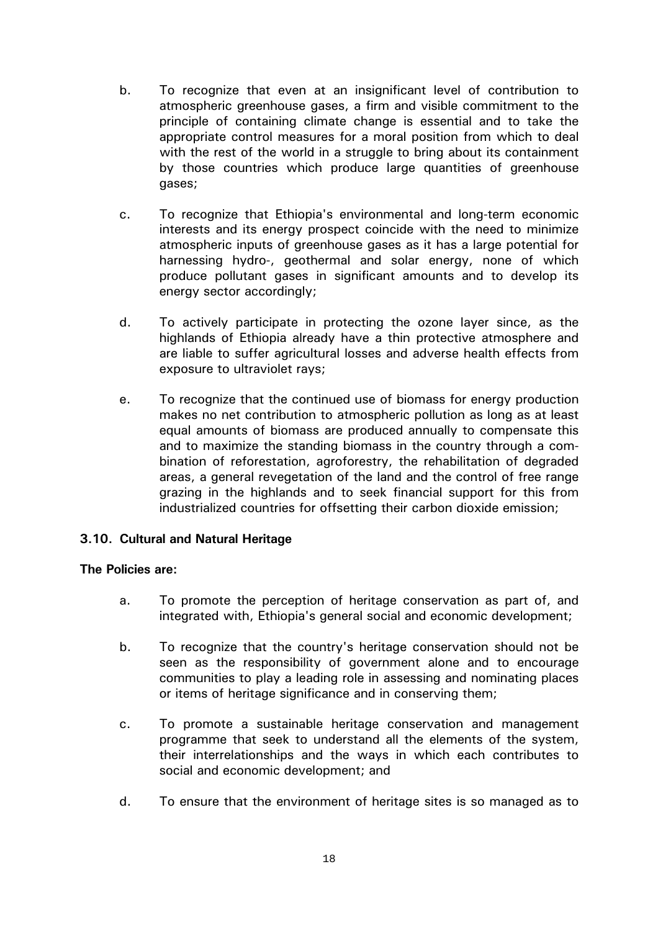- b. To recognize that even at an insignificant level of contribution to atmospheric greenhouse gases, a firm and visible commitment to the principle of containing climate change is essential and to take the appropriate control measures for a moral position from which to deal with the rest of the world in a struggle to bring about its containment by those countries which produce large quantities of greenhouse gases;
- c. To recognize that Ethiopia's environmental and long-term economic interests and its energy prospect coincide with the need to minimize atmospheric inputs of greenhouse gases as it has a large potential for harnessing hydro-, geothermal and solar energy, none of which produce pollutant gases in significant amounts and to develop its energy sector accordingly;
- d. To actively participate in protecting the ozone layer since, as the highlands of Ethiopia already have a thin protective atmosphere and are liable to suffer agricultural losses and adverse health effects from exposure to ultraviolet rays;
- e. To recognize that the continued use of biomass for energy production makes no net contribution to atmospheric pollution as long as at least equal amounts of biomass are produced annually to compensate this and to maximize the standing biomass in the country through a combination of reforestation, agroforestry, the rehabilitation of degraded areas, a general revegetation of the land and the control of free range grazing in the highlands and to seek financial support for this from industrialized countries for offsetting their carbon dioxide emission;

### **3.10. Cultural and Natural Heritage**

- a. To promote the perception of heritage conservation as part of, and integrated with, Ethiopia's general social and economic development;
- b. To recognize that the country's heritage conservation should not be seen as the responsibility of government alone and to encourage communities to play a leading role in assessing and nominating places or items of heritage significance and in conserving them;
- c. To promote a sustainable heritage conservation and management programme that seek to understand all the elements of the system, their interrelationships and the ways in which each contributes to social and economic development; and
- d. To ensure that the environment of heritage sites is so managed as to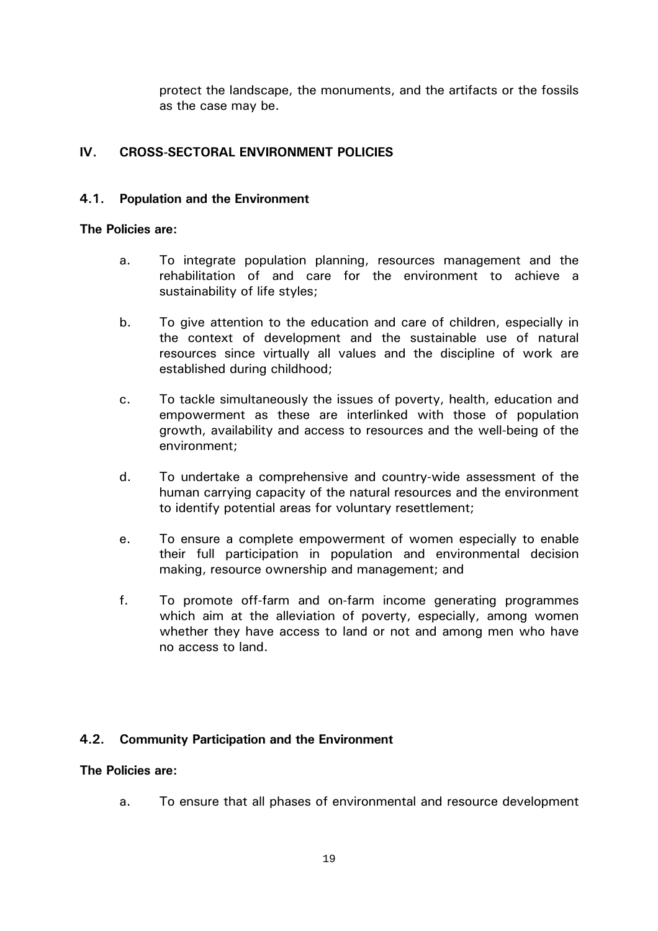protect the landscape, the monuments, and the artifacts or the fossils as the case may be.

### **IV. CROSS-SECTORAL ENVIRONMENT POLICIES**

#### **4.1. Population and the Environment**

#### **The Policies are:**

- a. To integrate population planning, resources management and the rehabilitation of and care for the environment to achieve a sustainability of life styles;
- b. To give attention to the education and care of children, especially in the context of development and the sustainable use of natural resources since virtually all values and the discipline of work are established during childhood;
- c. To tackle simultaneously the issues of poverty, health, education and empowerment as these are interlinked with those of population growth, availability and access to resources and the well-being of the environment;
- d. To undertake a comprehensive and country-wide assessment of the human carrying capacity of the natural resources and the environment to identify potential areas for voluntary resettlement;
- e. To ensure a complete empowerment of women especially to enable their full participation in population and environmental decision making, resource ownership and management; and
- f. To promote off-farm and on-farm income generating programmes which aim at the alleviation of poverty, especially, among women whether they have access to land or not and among men who have no access to land.

### **4.2. Community Participation and the Environment**

### **The Policies are:**

a. To ensure that all phases of environmental and resource development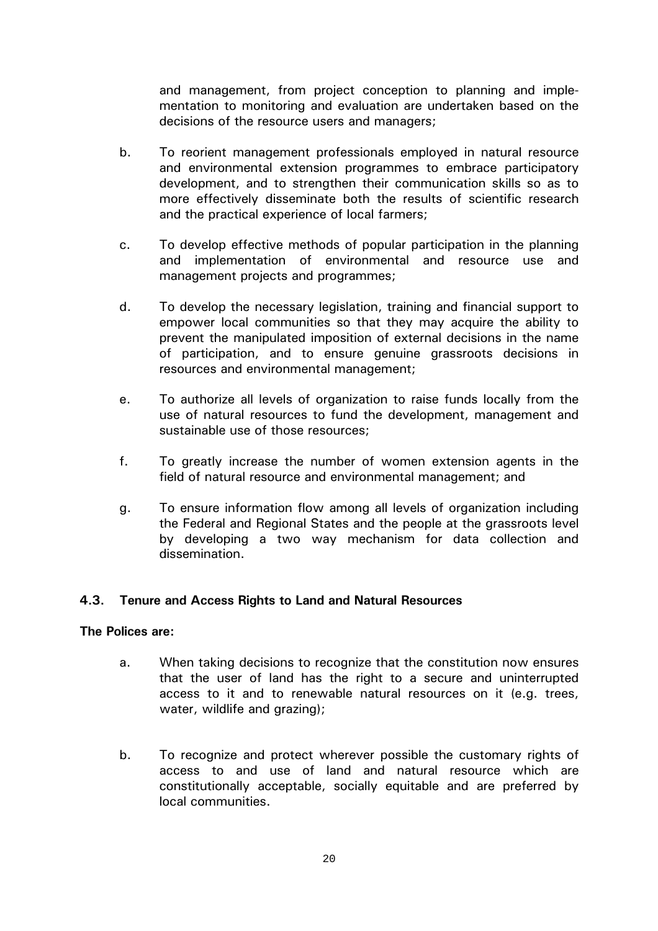and management, from project conception to planning and implementation to monitoring and evaluation are undertaken based on the decisions of the resource users and managers;

- b. To reorient management professionals employed in natural resource and environmental extension programmes to embrace participatory development, and to strengthen their communication skills so as to more effectively disseminate both the results of scientific research and the practical experience of local farmers;
- c. To develop effective methods of popular participation in the planning and implementation of environmental and resource use and management projects and programmes;
- d. To develop the necessary legislation, training and financial support to empower local communities so that they may acquire the ability to prevent the manipulated imposition of external decisions in the name of participation, and to ensure genuine grassroots decisions in resources and environmental management;
- e. To authorize all levels of organization to raise funds locally from the use of natural resources to fund the development, management and sustainable use of those resources;
- f. To greatly increase the number of women extension agents in the field of natural resource and environmental management; and
- g. To ensure information flow among all levels of organization including the Federal and Regional States and the people at the grassroots level by developing a two way mechanism for data collection and dissemination.

### **4.3. Tenure and Access Rights to Land and Natural Resources**

- a. When taking decisions to recognize that the constitution now ensures that the user of land has the right to a secure and uninterrupted access to it and to renewable natural resources on it (e.g. trees, water, wildlife and grazing);
- b. To recognize and protect wherever possible the customary rights of access to and use of land and natural resource which are constitutionally acceptable, socially equitable and are preferred by local communities.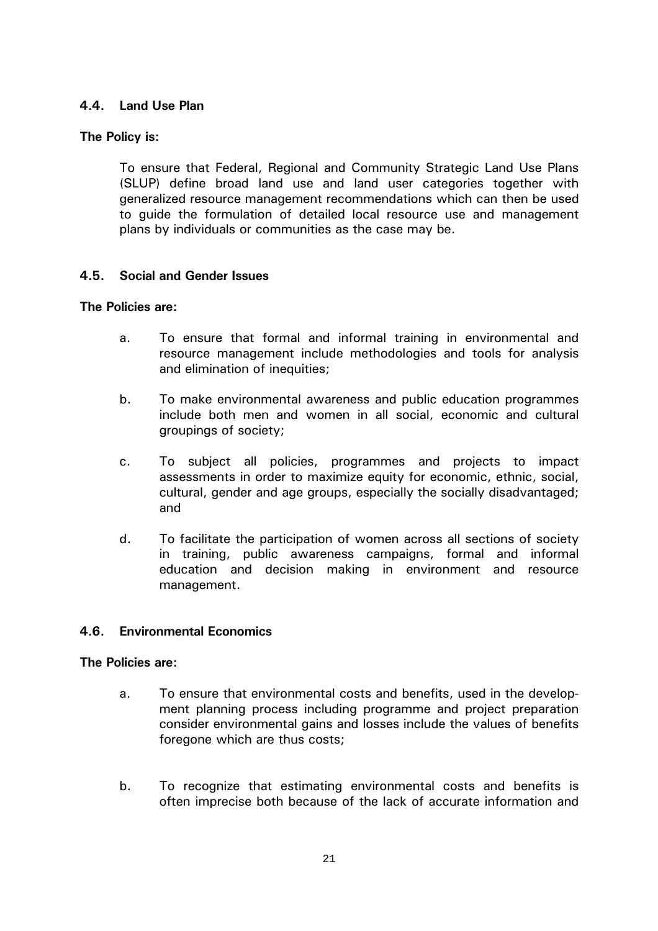# **4.4. Land Use Plan**

# **The Policy is:**

 To ensure that Federal, Regional and Community Strategic Land Use Plans (SLUP) define broad land use and land user categories together with generalized resource management recommendations which can then be used to guide the formulation of detailed local resource use and management plans by individuals or communities as the case may be.

### **4.5. Social and Gender Issues**

### **The Policies are:**

- a. To ensure that formal and informal training in environmental and resource management include methodologies and tools for analysis and elimination of inequities;
- b. To make environmental awareness and public education programmes include both men and women in all social, economic and cultural groupings of society;
- c. To subject all policies, programmes and projects to impact assessments in order to maximize equity for economic, ethnic, social, cultural, gender and age groups, especially the socially disadvantaged; and
- d. To facilitate the participation of women across all sections of society in training, public awareness campaigns, formal and informal education and decision making in environment and resource management.

# **4.6. Environmental Economics**

- a. To ensure that environmental costs and benefits, used in the development planning process including programme and project preparation consider environmental gains and losses include the values of benefits foregone which are thus costs;
- b. To recognize that estimating environmental costs and benefits is often imprecise both because of the lack of accurate information and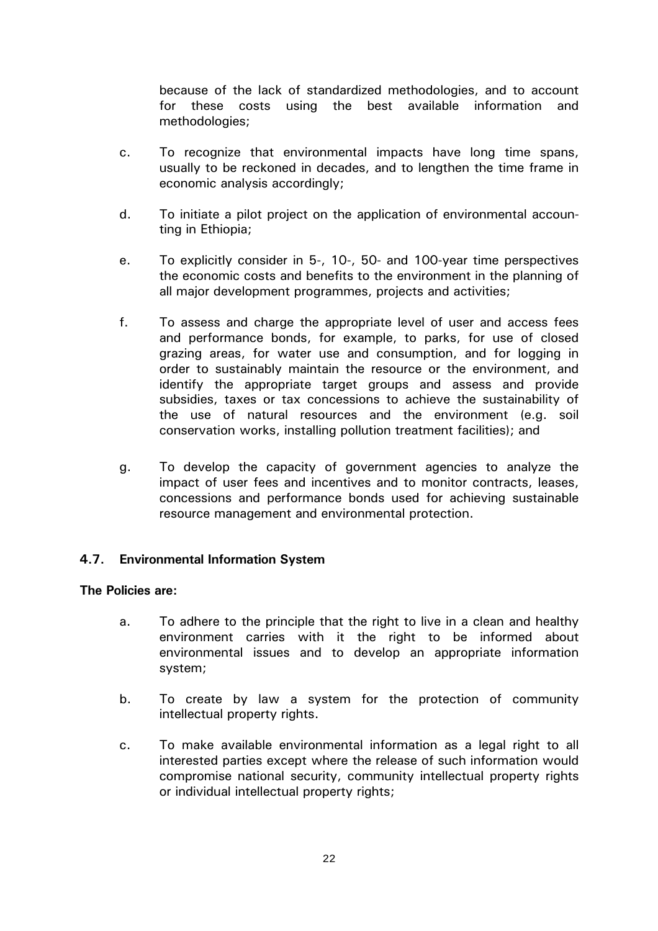because of the lack of standardized methodologies, and to account for these costs using the best available information and methodologies;

- c. To recognize that environmental impacts have long time spans, usually to be reckoned in decades, and to lengthen the time frame in economic analysis accordingly;
- d. To initiate a pilot project on the application of environmental accounting in Ethiopia;
- e. To explicitly consider in 5-, 10-, 50- and 100-year time perspectives the economic costs and benefits to the environment in the planning of all major development programmes, projects and activities;
- f. To assess and charge the appropriate level of user and access fees and performance bonds, for example, to parks, for use of closed grazing areas, for water use and consumption, and for logging in order to sustainably maintain the resource or the environment, and identify the appropriate target groups and assess and provide subsidies, taxes or tax concessions to achieve the sustainability of the use of natural resources and the environment (e.g. soil conservation works, installing pollution treatment facilities); and
- g. To develop the capacity of government agencies to analyze the impact of user fees and incentives and to monitor contracts, leases, concessions and performance bonds used for achieving sustainable resource management and environmental protection.

### **4.7. Environmental Information System**

- a. To adhere to the principle that the right to live in a clean and healthy environment carries with it the right to be informed about environmental issues and to develop an appropriate information system;
- b. To create by law a system for the protection of community intellectual property rights.
- c. To make available environmental information as a legal right to all interested parties except where the release of such information would compromise national security, community intellectual property rights or individual intellectual property rights;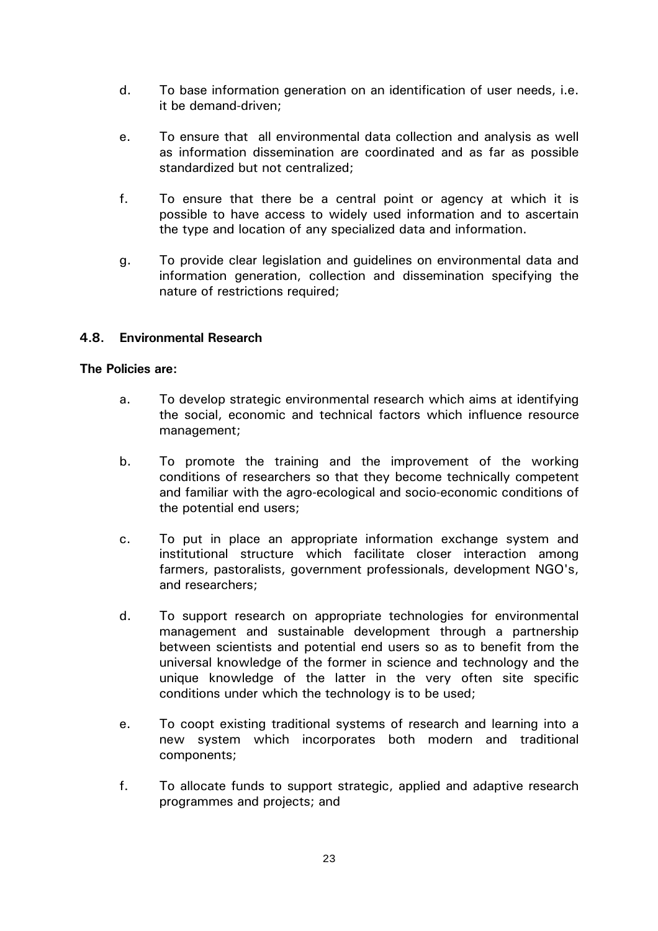- d. To base information generation on an identification of user needs, i.e. it be demand-driven;
- e. To ensure that all environmental data collection and analysis as well as information dissemination are coordinated and as far as possible standardized but not centralized;
- f. To ensure that there be a central point or agency at which it is possible to have access to widely used information and to ascertain the type and location of any specialized data and information.
- g. To provide clear legislation and guidelines on environmental data and information generation, collection and dissemination specifying the nature of restrictions required;

### **4.8. Environmental Research**

- a. To develop strategic environmental research which aims at identifying the social, economic and technical factors which influence resource management;
- b. To promote the training and the improvement of the working conditions of researchers so that they become technically competent and familiar with the agro-ecological and socio-economic conditions of the potential end users;
- c. To put in place an appropriate information exchange system and institutional structure which facilitate closer interaction among farmers, pastoralists, government professionals, development NGO's, and researchers;
- d. To support research on appropriate technologies for environmental management and sustainable development through a partnership between scientists and potential end users so as to benefit from the universal knowledge of the former in science and technology and the unique knowledge of the latter in the very often site specific conditions under which the technology is to be used;
- e. To coopt existing traditional systems of research and learning into a new system which incorporates both modern and traditional components;
- f. To allocate funds to support strategic, applied and adaptive research programmes and projects; and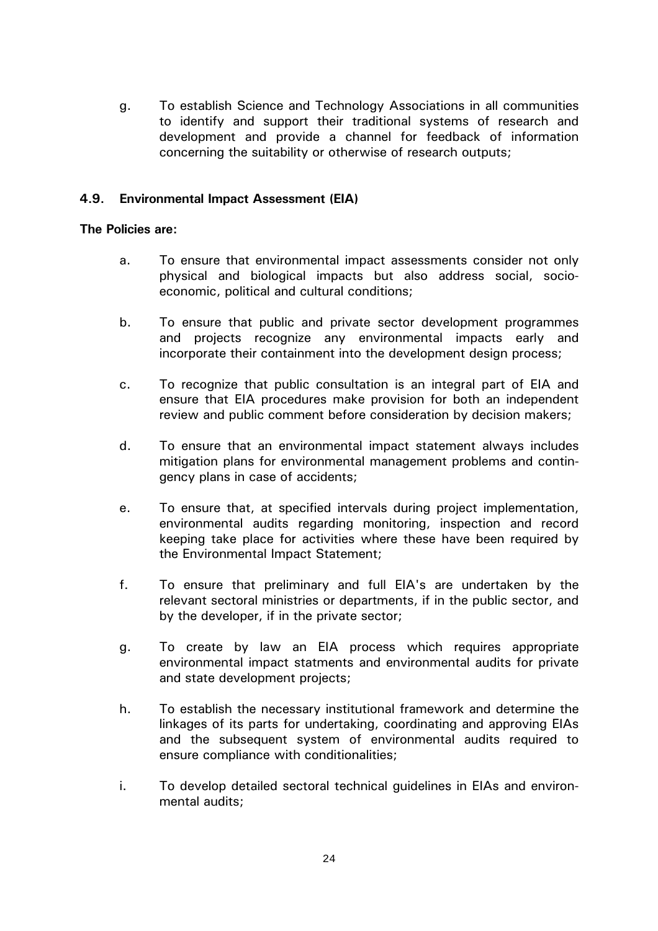g. To establish Science and Technology Associations in all communities to identify and support their traditional systems of research and development and provide a channel for feedback of information concerning the suitability or otherwise of research outputs;

### **4.9. Environmental Impact Assessment (EIA)**

- a. To ensure that environmental impact assessments consider not only physical and biological impacts but also address social, socioeconomic, political and cultural conditions;
- b. To ensure that public and private sector development programmes and projects recognize any environmental impacts early and incorporate their containment into the development design process;
- c. To recognize that public consultation is an integral part of EIA and ensure that EIA procedures make provision for both an independent review and public comment before consideration by decision makers;
- d. To ensure that an environmental impact statement always includes mitigation plans for environmental management problems and contingency plans in case of accidents;
- e. To ensure that, at specified intervals during project implementation, environmental audits regarding monitoring, inspection and record keeping take place for activities where these have been required by the Environmental Impact Statement;
- f. To ensure that preliminary and full EIA's are undertaken by the relevant sectoral ministries or departments, if in the public sector, and by the developer, if in the private sector;
- g. To create by law an EIA process which requires appropriate environmental impact statments and environmental audits for private and state development projects;
- h. To establish the necessary institutional framework and determine the linkages of its parts for undertaking, coordinating and approving EIAs and the subsequent system of environmental audits required to ensure compliance with conditionalities;
- i. To develop detailed sectoral technical guidelines in EIAs and environmental audits;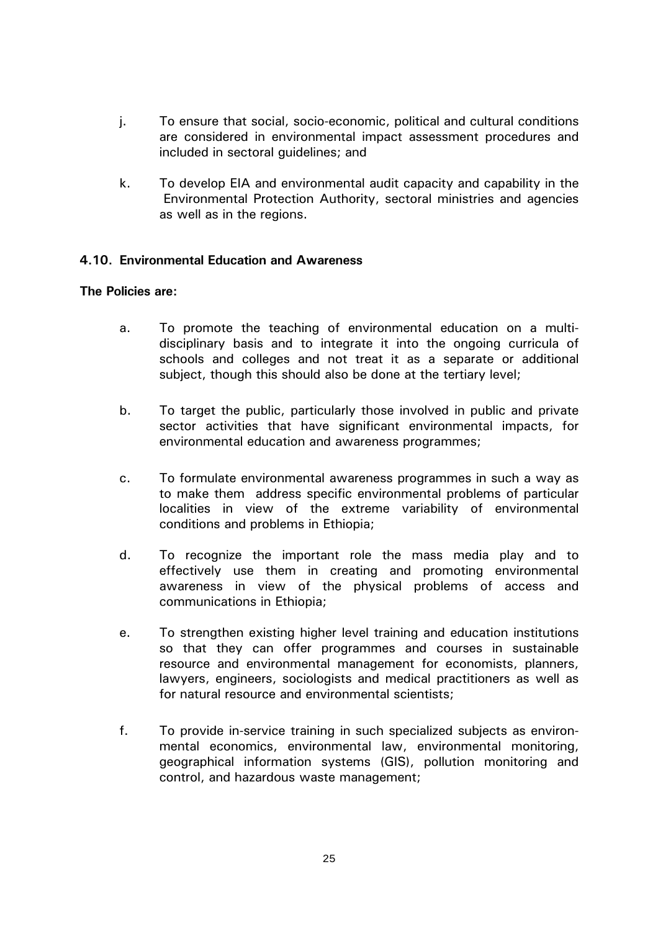- j. To ensure that social, socio-economic, political and cultural conditions are considered in environmental impact assessment procedures and included in sectoral guidelines; and
- k. To develop EIA and environmental audit capacity and capability in the Environmental Protection Authority, sectoral ministries and agencies as well as in the regions.

### **4.10. Environmental Education and Awareness**

- a. To promote the teaching of environmental education on a multidisciplinary basis and to integrate it into the ongoing curricula of schools and colleges and not treat it as a separate or additional subject, though this should also be done at the tertiary level;
- b. To target the public, particularly those involved in public and private sector activities that have significant environmental impacts, for environmental education and awareness programmes;
- c. To formulate environmental awareness programmes in such a way as to make them address specific environmental problems of particular localities in view of the extreme variability of environmental conditions and problems in Ethiopia;
- d. To recognize the important role the mass media play and to effectively use them in creating and promoting environmental awareness in view of the physical problems of access and communications in Ethiopia;
- e. To strengthen existing higher level training and education institutions so that they can offer programmes and courses in sustainable resource and environmental management for economists, planners, lawyers, engineers, sociologists and medical practitioners as well as for natural resource and environmental scientists;
- f. To provide in-service training in such specialized subjects as environmental economics, environmental law, environmental monitoring, geographical information systems (GIS), pollution monitoring and control, and hazardous waste management;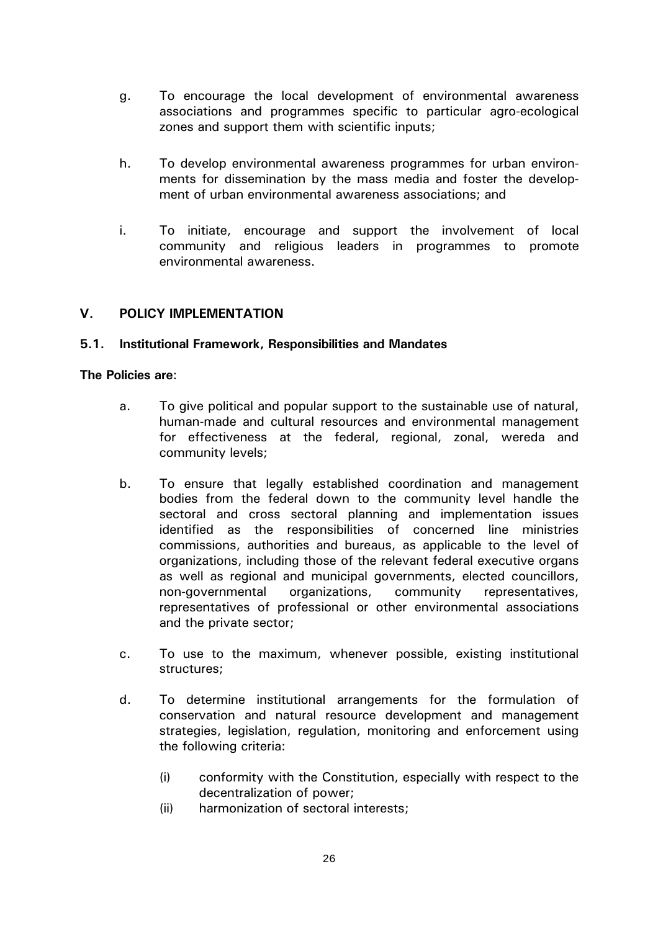- g. To encourage the local development of environmental awareness associations and programmes specific to particular agro-ecological zones and support them with scientific inputs;
- h. To develop environmental awareness programmes for urban environments for dissemination by the mass media and foster the development of urban environmental awareness associations; and
- i. To initiate, encourage and support the involvement of local community and religious leaders in programmes to promote environmental awareness.

### **V. POLICY IMPLEMENTATION**

### **5.1. Institutional Framework, Responsibilities and Mandates**

- a. To give political and popular support to the sustainable use of natural, human-made and cultural resources and environmental management for effectiveness at the federal, regional, zonal, wereda and community levels;
- b. To ensure that legally established coordination and management bodies from the federal down to the community level handle the sectoral and cross sectoral planning and implementation issues identified as the responsibilities of concerned line ministries commissions, authorities and bureaus, as applicable to the level of organizations, including those of the relevant federal executive organs as well as regional and municipal governments, elected councillors, non-governmental organizations, community representatives, representatives of professional or other environmental associations and the private sector;
- c. To use to the maximum, whenever possible, existing institutional structures;
- d. To determine institutional arrangements for the formulation of conservation and natural resource development and management strategies, legislation, regulation, monitoring and enforcement using the following criteria:
	- (i) conformity with the Constitution, especially with respect to the decentralization of power;
	- (ii) harmonization of sectoral interests;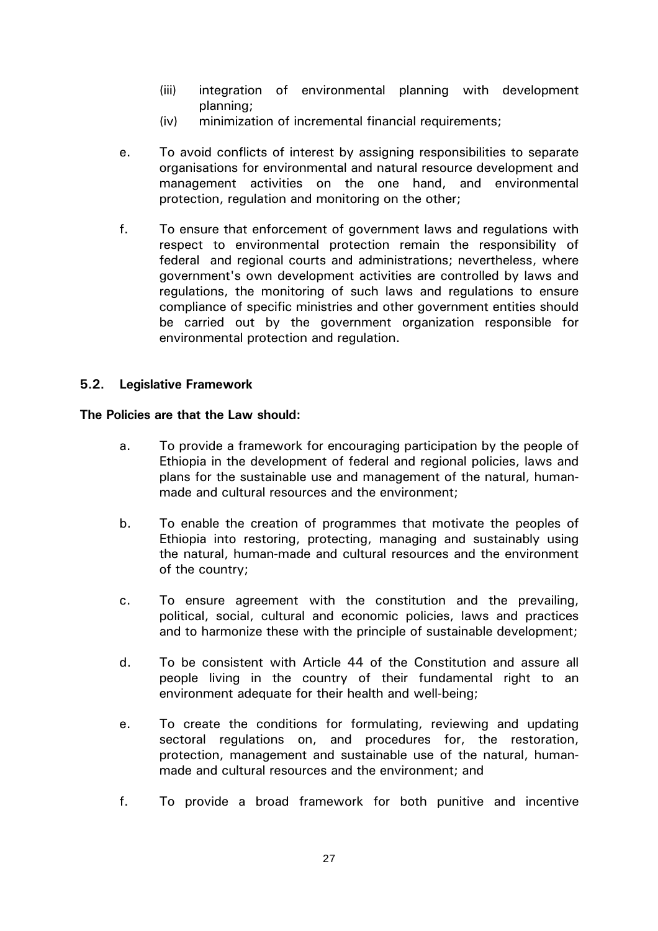- (iii) integration of environmental planning with development planning;
- (iv) minimization of incremental financial requirements;
- e. To avoid conflicts of interest by assigning responsibilities to separate organisations for environmental and natural resource development and management activities on the one hand, and environmental protection, regulation and monitoring on the other;
- f. To ensure that enforcement of government laws and regulations with respect to environmental protection remain the responsibility of federal and regional courts and administrations; nevertheless, where government's own development activities are controlled by laws and regulations, the monitoring of such laws and regulations to ensure compliance of specific ministries and other government entities should be carried out by the government organization responsible for environmental protection and regulation.

### **5.2. Legislative Framework**

### **The Policies are that the Law should:**

- a. To provide a framework for encouraging participation by the people of Ethiopia in the development of federal and regional policies, laws and plans for the sustainable use and management of the natural, humanmade and cultural resources and the environment;
- b. To enable the creation of programmes that motivate the peoples of Ethiopia into restoring, protecting, managing and sustainably using the natural, human-made and cultural resources and the environment of the country;
- c. To ensure agreement with the constitution and the prevailing, political, social, cultural and economic policies, laws and practices and to harmonize these with the principle of sustainable development;
- d. To be consistent with Article 44 of the Constitution and assure all people living in the country of their fundamental right to an environment adequate for their health and well-being;
- e. To create the conditions for formulating, reviewing and updating sectoral regulations on, and procedures for, the restoration, protection, management and sustainable use of the natural, humanmade and cultural resources and the environment; and
- f. To provide a broad framework for both punitive and incentive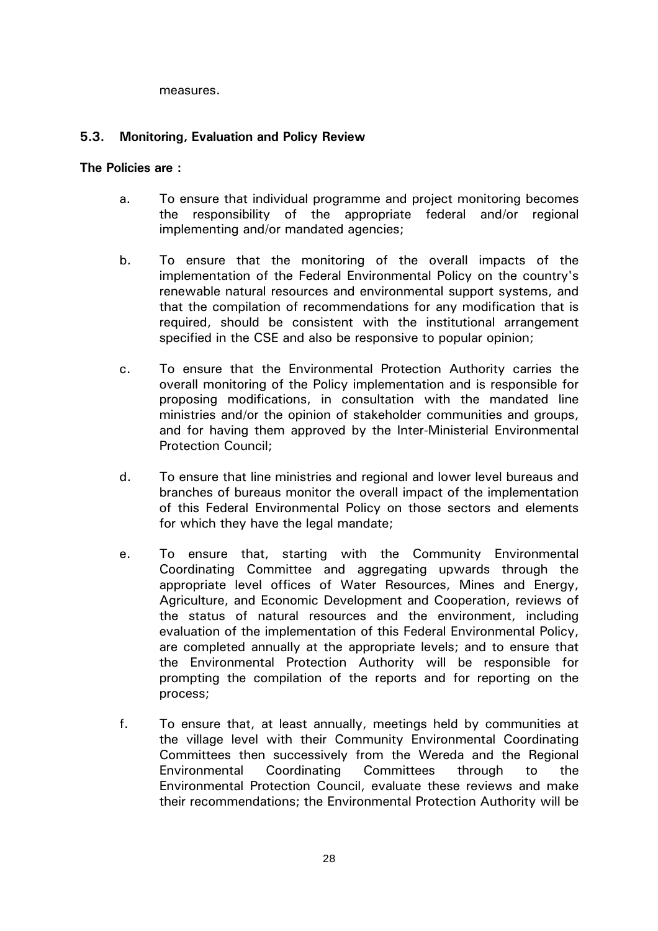measures.

### **5.3. Monitoring, Evaluation and Policy Review**

- a. To ensure that individual programme and project monitoring becomes the responsibility of the appropriate federal and/or regional implementing and/or mandated agencies;
- b. To ensure that the monitoring of the overall impacts of the implementation of the Federal Environmental Policy on the country's renewable natural resources and environmental support systems, and that the compilation of recommendations for any modification that is required, should be consistent with the institutional arrangement specified in the CSE and also be responsive to popular opinion;
- c. To ensure that the Environmental Protection Authority carries the overall monitoring of the Policy implementation and is responsible for proposing modifications, in consultation with the mandated line ministries and/or the opinion of stakeholder communities and groups, and for having them approved by the Inter-Ministerial Environmental Protection Council;
- d. To ensure that line ministries and regional and lower level bureaus and branches of bureaus monitor the overall impact of the implementation of this Federal Environmental Policy on those sectors and elements for which they have the legal mandate;
- e. To ensure that, starting with the Community Environmental Coordinating Committee and aggregating upwards through the appropriate level offices of Water Resources, Mines and Energy, Agriculture, and Economic Development and Cooperation, reviews of the status of natural resources and the environment, including evaluation of the implementation of this Federal Environmental Policy, are completed annually at the appropriate levels; and to ensure that the Environmental Protection Authority will be responsible for prompting the compilation of the reports and for reporting on the process;
- f. To ensure that, at least annually, meetings held by communities at the village level with their Community Environmental Coordinating Committees then successively from the Wereda and the Regional Environmental Coordinating Committees through to the Environmental Protection Council, evaluate these reviews and make their recommendations; the Environmental Protection Authority will be